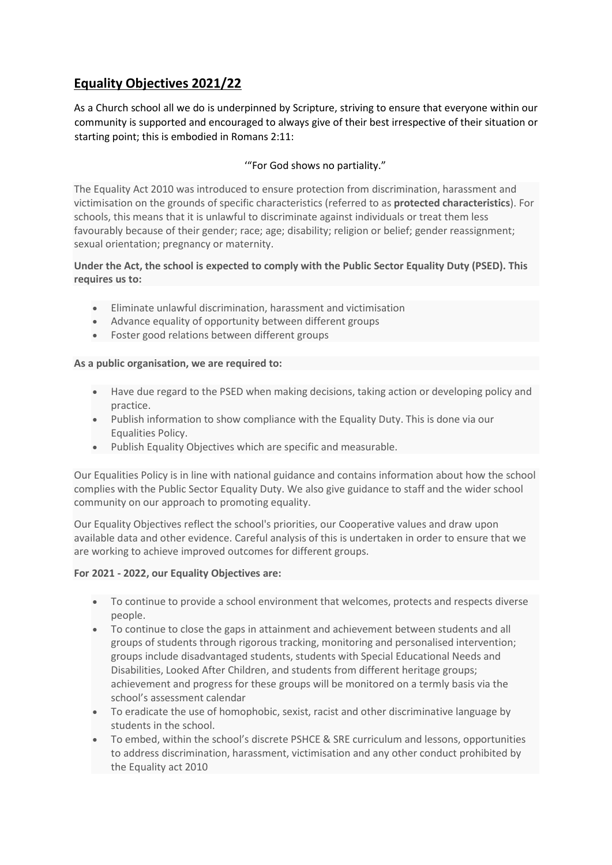# **Equality Objectives 2021/22**

As a Church school all we do is underpinned by Scripture, striving to ensure that everyone within our community is supported and encouraged to always give of their best irrespective of their situation or starting point; this is embodied in Romans 2:11:

## '"For God shows no partiality."

The Equality Act 2010 was introduced to ensure protection from discrimination, harassment and victimisation on the grounds of specific characteristics (referred to as **protected characteristics**). For schools, this means that it is unlawful to discriminate against individuals or treat them less favourably because of their gender; race; age; disability; religion or belief; gender reassignment; sexual orientation; pregnancy or maternity.

### **Under the Act, the school is expected to comply with the Public Sector Equality Duty (PSED). This requires us to:**

- Eliminate unlawful discrimination, harassment and victimisation
- Advance equality of opportunity between different groups
- Foster good relations between different groups

### **As a public organisation, we are required to:**

- Have due regard to the PSED when making decisions, taking action or developing policy and practice.
- Publish information to show compliance with the Equality Duty. This is done via our Equalities Policy.
- Publish Equality Objectives which are specific and measurable.

Our Equalities Policy is in line with national guidance and contains information about how the school complies with the Public Sector Equality Duty. We also give guidance to staff and the wider school community on our approach to promoting equality.

Our Equality Objectives reflect the school's priorities, our Cooperative values and draw upon available data and other evidence. Careful analysis of this is undertaken in order to ensure that we are working to achieve improved outcomes for different groups.

### **For 2021 - 2022, our Equality Objectives are:**

- To continue to provide a school environment that welcomes, protects and respects diverse people.
- To continue to close the gaps in attainment and achievement between students and all groups of students through rigorous tracking, monitoring and personalised intervention; groups include disadvantaged students, students with Special Educational Needs and Disabilities, Looked After Children, and students from different heritage groups; achievement and progress for these groups will be monitored on a termly basis via the school's assessment calendar
- To eradicate the use of homophobic, sexist, racist and other discriminative language by students in the school.
- To embed, within the school's discrete PSHCE & SRE curriculum and lessons, opportunities to address discrimination, harassment, victimisation and any other conduct prohibited by the Equality act 2010